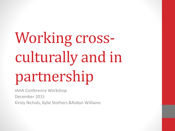# Working crossculturally and in partnership

IAHA Conference Workshop

December 2015

Kirsty Nichols, Kylie Stothers &Robyn Williams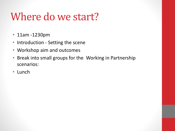## Where do we start?

- 11am -1230pm
- Introduction Setting the scene
- Workshop aim and outcomes
- Break into small groups for the Working in Partnership scenarios:
- Lunch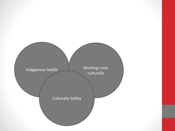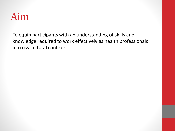### Aim

To equip participants with an understanding of skills and knowledge required to work effectively as health professionals in cross-cultural contexts.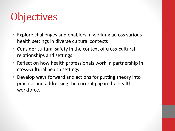# **Objectives**

- Explore challenges and enablers in working across various health settings in diverse cultural contexts
- Consider cultural safety in the context of cross-cultural relationships and settings
- Reflect on how health professionals work in partnership in cross-cultural health settings
- Develop ways forward and actions for putting theory into practice and addressing the current gap in the health workforce.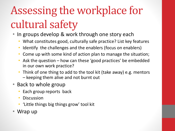# Assessing the workplace for cultural safety

- In groups develop & work through one story each
	- What constitutes good, culturally safe practice? List key features
	- Identify the challenges and the enablers (focus on enablers)
	- Come up with some kind of action plan to manage the situation;
	- Ask the question  $-$  how can these 'good practices' be embedded in our own work practice?
	- Think of one thing to add to the tool kit (take away) e.g. mentors – keeping them alive and not burnt out
- Back to whole group
	- Each group reports back
	- **Discussion**
	- 'Little things big things grow' tool kit
- Wrap up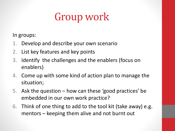# Group work

In groups:

- 1. Develop and describe your own scenario
- 2. List key features and key points
- 3. Identify the challenges and the enablers (focus on enablers)
- 4. Come up with some kind of action plan to manage the situation;
- 5. Ask the question how can these 'good practices' be embedded in our own work practice?
- 6. Think of one thing to add to the tool kit (take away) e.g. mentors – keeping them alive and not burnt out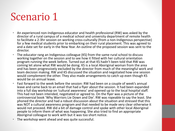# Scenario 1

- An experienced non-Indigenous educator and health professional (RW) was asked by the director of a rural campus of a medical school and university department of remote health to facilitate a 2-3hr session on working cross-culturally (from a non-Indigenous perspective) for a few medical students prior to embarking on their rural placement. This was agreed to and a date set for early in the New Year. An outline of the proposed session was sent to the director.
- The educator rang an Indigenous colleague (KS) from the same rural school to discuss working together on the session and to see how it fitted with her cultural orientation program running the week before. Turned out at that KS hadn't been told that RW was coming let alone what RW would be doing. KS is a local Aboriginal woman from the area and has been progressively excluded by the director from much of the meaningful work and team decision making. RW and KS discussed the situation and negotiated how one session would complement the other. They also made arrangements to catch up even though KS would be on annual leave.
- Fast forward to the week before the session: RW had been on a couple of week's annual leave and came back to an email that had a flyer about the session. It had been expanded into a full day workshop on 'cultural awareness' and opened up to the local hospital staff. This had not been intended, negotiated or agreed to. On the flyer was a picture of the controversial book 'Why Warriors Lie Down and Die'. RW was ropeable to say the least. She phoned the director and had a robust discussion about the situation and stressed that this was NOT a cultural awareness program and that needed to be made very clear otherwise it would not proceed. RW did a bit of damage control and spoke with other local Aboriginal people to inform them of what was happening. She also tried to find an appropriate Aboriginal colleague to work with but it was too short notice.
- The workshop went ahead and was quite successful.